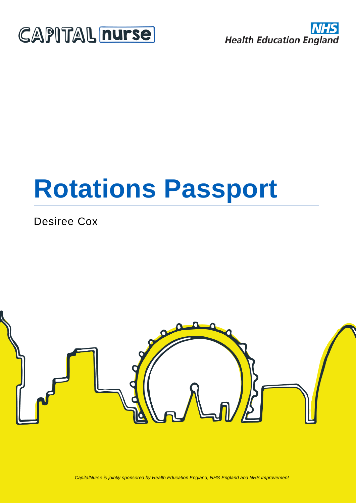



# **Rotations Passport**

Desiree Cox



*CapitalNurse is jointly sponsored by Health Education England, NHS England and NHS Improvement*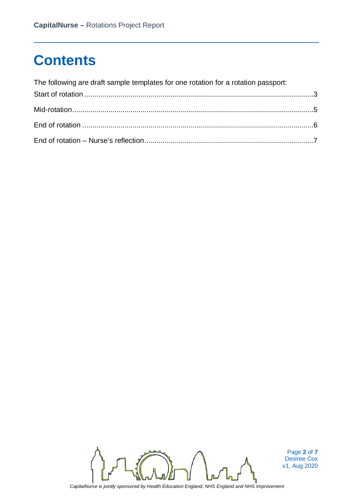## **Contents**

| The following are draft sample templates for one rotation for a rotation passport: |  |
|------------------------------------------------------------------------------------|--|
|                                                                                    |  |
|                                                                                    |  |
|                                                                                    |  |
|                                                                                    |  |



Page **2** of **7** Desiree Cox v1, Aug 2020

*CapitalNurse is jointly sponsored by Health Education England, NHS England and NHS Improvement*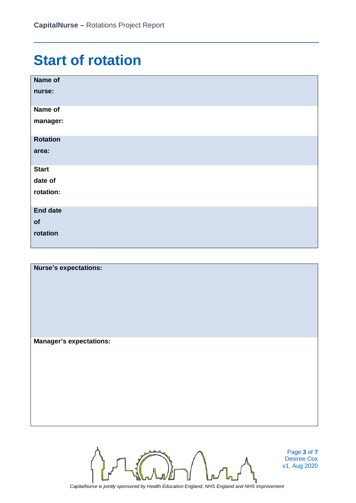## **Start of rotation**

| Name of         |
|-----------------|
| nurse:          |
| Name of         |
| manager:        |
| <b>Rotation</b> |
| area:           |
| <b>Start</b>    |
| date of         |
| rotation:       |
| <b>End date</b> |
| of              |
| rotation        |

| <b>Nurse's expectations:</b>   |  |
|--------------------------------|--|
| <b>Manager's expectations:</b> |  |



Page **3** of **7** Desiree Cox v1, Aug 2020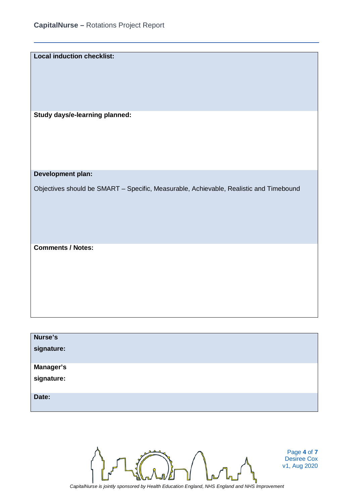**Local induction checklist:**

**Study days/e-learning planned:**

**Development plan:**

Objectives should be SMART – Specific, Measurable, Achievable, Realistic and Timebound

**Comments / Notes:**

| Nurse's          |  |
|------------------|--|
| signature:       |  |
| <b>Manager's</b> |  |
| signature:       |  |
| Date:            |  |



Page **4** of **7** Desiree Cox v1, Aug 2020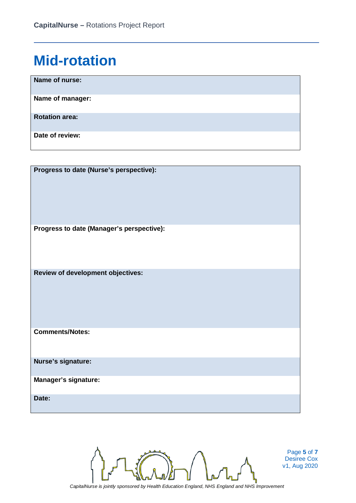#### **Mid-rotation**

| Name of nurse:        |
|-----------------------|
| Name of manager:      |
| <b>Rotation area:</b> |
| Date of review:       |

| Progress to date (Nurse's perspective):   |
|-------------------------------------------|
| Progress to date (Manager's perspective): |
| Review of development objectives:         |
| <b>Comments/Notes:</b>                    |
| Nurse's signature:                        |
| <b>Manager's signature:</b>               |
| Date:                                     |



Page **5** of **7** Desiree Cox v1, Aug 2020

*CapitalNurse is jointly sponsored by Health Education England, NHS England and NHS Improvement*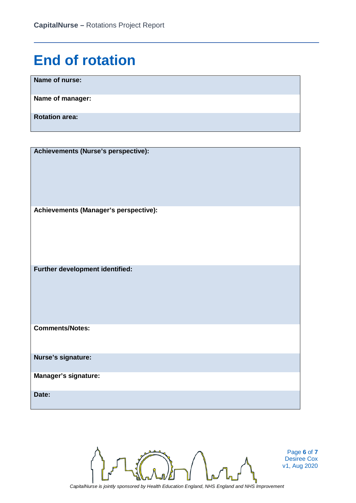## **End of rotation**

**Name of nurse:**

**Name of manager:**

**Rotation area:**

**Achievements (Nurse's perspective): Achievements (Manager's perspective):**

**Further development identified:**

**Comments/Notes:**

**Nurse's signature:**

**Manager's signature:**

**Date:**

*CapitalNurse is jointly sponsored by Health Education England, NHS England and NHS Improvement*

Page **6** of **7** Desiree Cox v1, Aug 2020